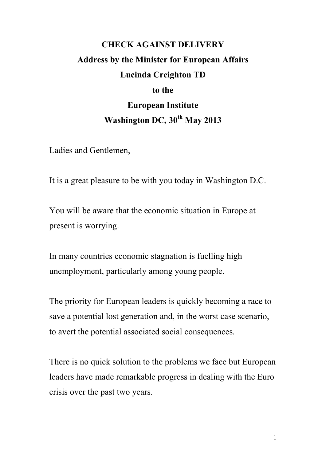## **CHECK AGAINST DELIVERY Address by the Minister for European Affairs Lucinda Creighton TD to the European Institute Washington DC, 30th May 2013**

Ladies and Gentlemen,

It is a great pleasure to be with you today in Washington D.C.

You will be aware that the economic situation in Europe at present is worrying.

In many countries economic stagnation is fuelling high unemployment, particularly among young people.

The priority for European leaders is quickly becoming a race to save a potential lost generation and, in the worst case scenario, to avert the potential associated social consequences.

There is no quick solution to the problems we face but European leaders have made remarkable progress in dealing with the Euro crisis over the past two years.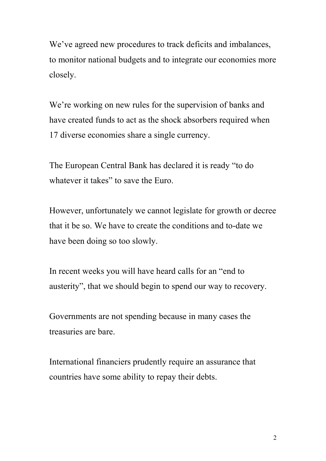We've agreed new procedures to track deficits and imbalances, to monitor national budgets and to integrate our economies more closely.

We're working on new rules for the supervision of banks and have created funds to act as the shock absorbers required when 17 diverse economies share a single currency.

The European Central Bank has declared it is ready "to do whatever it takes" to save the Euro.

However, unfortunately we cannot legislate for growth or decree that it be so. We have to create the conditions and to-date we have been doing so too slowly.

In recent weeks you will have heard calls for an "end to austerity", that we should begin to spend our way to recovery.

Governments are not spending because in many cases the treasuries are bare.

International financiers prudently require an assurance that countries have some ability to repay their debts.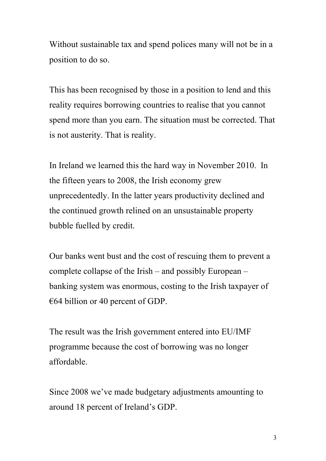Without sustainable tax and spend polices many will not be in a position to do so.

This has been recognised by those in a position to lend and this reality requires borrowing countries to realise that you cannot spend more than you earn. The situation must be corrected. That is not austerity. That is reality.

In Ireland we learned this the hard way in November 2010. In the fifteen years to 2008, the Irish economy grew unprecedentedly. In the latter years productivity declined and the continued growth relined on an unsustainable property bubble fuelled by credit.

Our banks went bust and the cost of rescuing them to prevent a complete collapse of the Irish – and possibly European – banking system was enormous, costing to the Irish taxpayer of €64 billion or 40 percent of GDP.

The result was the Irish government entered into EU/IMF programme because the cost of borrowing was no longer affordable.

Since 2008 we've made budgetary adjustments amounting to around 18 percent of Ireland's GDP.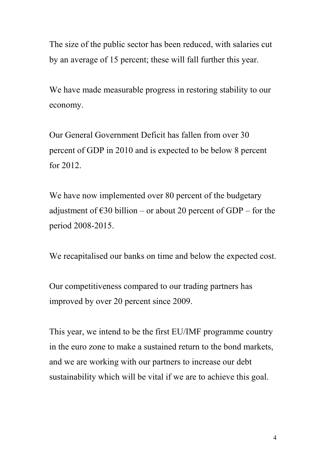The size of the public sector has been reduced, with salaries cut by an average of 15 percent; these will fall further this year.

We have made measurable progress in restoring stability to our economy.

Our General Government Deficit has fallen from over 30 percent of GDP in 2010 and is expected to be below 8 percent for 2012.

We have now implemented over 80 percent of the budgetary adjustment of  $\epsilon$ 30 billion – or about 20 percent of GDP – for the period 2008-2015.

We recapitalised our banks on time and below the expected cost.

Our competitiveness compared to our trading partners has improved by over 20 percent since 2009.

This year, we intend to be the first EU/IMF programme country in the euro zone to make a sustained return to the bond markets, and we are working with our partners to increase our debt sustainability which will be vital if we are to achieve this goal.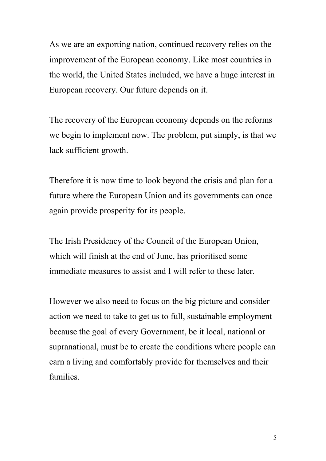As we are an exporting nation, continued recovery relies on the improvement of the European economy. Like most countries in the world, the United States included, we have a huge interest in European recovery. Our future depends on it.

The recovery of the European economy depends on the reforms we begin to implement now. The problem, put simply, is that we lack sufficient growth.

Therefore it is now time to look beyond the crisis and plan for a future where the European Union and its governments can once again provide prosperity for its people.

The Irish Presidency of the Council of the European Union, which will finish at the end of June, has prioritised some immediate measures to assist and I will refer to these later.

However we also need to focus on the big picture and consider action we need to take to get us to full, sustainable employment because the goal of every Government, be it local, national or supranational, must be to create the conditions where people can earn a living and comfortably provide for themselves and their families.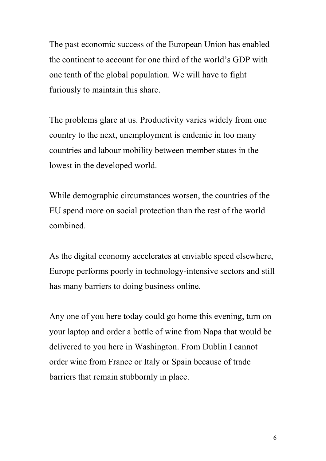The past economic success of the European Union has enabled the continent to account for one third of the world's GDP with one tenth of the global population. We will have to fight furiously to maintain this share.

The problems glare at us. Productivity varies widely from one country to the next, unemployment is endemic in too many countries and labour mobility between member states in the lowest in the developed world.

While demographic circumstances worsen, the countries of the EU spend more on social protection than the rest of the world combined.

As the digital economy accelerates at enviable speed elsewhere, Europe performs poorly in technology-intensive sectors and still has many barriers to doing business online.

Any one of you here today could go home this evening, turn on your laptop and order a bottle of wine from Napa that would be delivered to you here in Washington. From Dublin I cannot order wine from France or Italy or Spain because of trade barriers that remain stubbornly in place.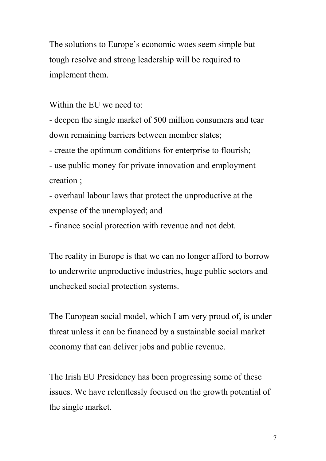The solutions to Europe's economic woes seem simple but tough resolve and strong leadership will be required to implement them.

Within the EU we need to:

- deepen the single market of 500 million consumers and tear down remaining barriers between member states;

- create the optimum conditions for enterprise to flourish;

- use public money for private innovation and employment creation ;

- overhaul labour laws that protect the unproductive at the expense of the unemployed; and

- finance social protection with revenue and not debt.

The reality in Europe is that we can no longer afford to borrow to underwrite unproductive industries, huge public sectors and unchecked social protection systems.

The European social model, which I am very proud of, is under threat unless it can be financed by a sustainable social market economy that can deliver jobs and public revenue.

The Irish EU Presidency has been progressing some of these issues. We have relentlessly focused on the growth potential of the single market.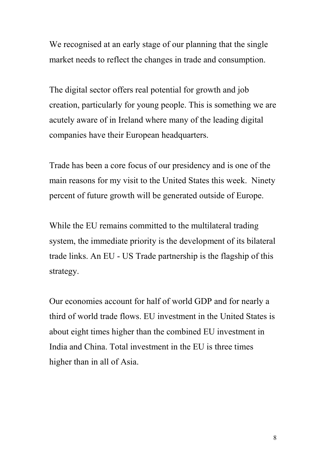We recognised at an early stage of our planning that the single market needs to reflect the changes in trade and consumption.

The digital sector offers real potential for growth and job creation, particularly for young people. This is something we are acutely aware of in Ireland where many of the leading digital companies have their European headquarters.

Trade has been a core focus of our presidency and is one of the main reasons for my visit to the United States this week. Ninety percent of future growth will be generated outside of Europe.

While the EU remains committed to the multilateral trading system, the immediate priority is the development of its bilateral trade links. An EU - US Trade partnership is the flagship of this strategy.

Our economies account for half of world GDP and for nearly a third of world trade flows. EU investment in the United States is about eight times higher than the combined EU investment in India and China. Total investment in the EU is three times higher than in all of Asia.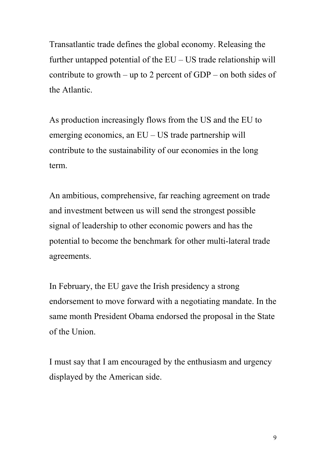Transatlantic trade defines the global economy. Releasing the further untapped potential of the EU – US trade relationship will contribute to growth – up to 2 percent of GDP – on both sides of the Atlantic.

As production increasingly flows from the US and the EU to emerging economics, an EU – US trade partnership will contribute to the sustainability of our economies in the long term.

An ambitious, comprehensive, far reaching agreement on trade and investment between us will send the strongest possible signal of leadership to other economic powers and has the potential to become the benchmark for other multi-lateral trade agreements.

In February, the EU gave the Irish presidency a strong endorsement to move forward with a negotiating mandate. In the same month President Obama endorsed the proposal in the State of the Union.

I must say that I am encouraged by the enthusiasm and urgency displayed by the American side.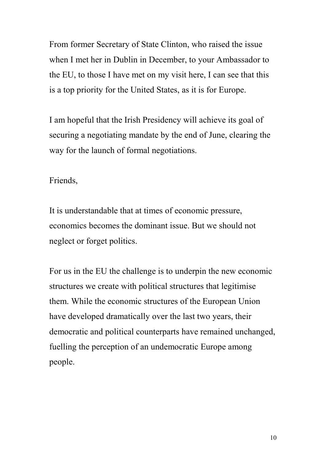From former Secretary of State Clinton, who raised the issue when I met her in Dublin in December, to your Ambassador to the EU, to those I have met on my visit here, I can see that this is a top priority for the United States, as it is for Europe.

I am hopeful that the Irish Presidency will achieve its goal of securing a negotiating mandate by the end of June, clearing the way for the launch of formal negotiations.

## Friends,

It is understandable that at times of economic pressure, economics becomes the dominant issue. But we should not neglect or forget politics.

For us in the EU the challenge is to underpin the new economic structures we create with political structures that legitimise them. While the economic structures of the European Union have developed dramatically over the last two years, their democratic and political counterparts have remained unchanged, fuelling the perception of an undemocratic Europe among people.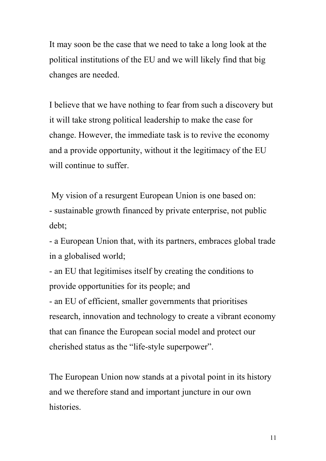It may soon be the case that we need to take a long look at the political institutions of the EU and we will likely find that big changes are needed.

I believe that we have nothing to fear from such a discovery but it will take strong political leadership to make the case for change. However, the immediate task is to revive the economy and a provide opportunity, without it the legitimacy of the EU will continue to suffer.

My vision of a resurgent European Union is one based on: - sustainable growth financed by private enterprise, not public debt;

- a European Union that, with its partners, embraces global trade in a globalised world;

- an EU that legitimises itself by creating the conditions to provide opportunities for its people; and

- an EU of efficient, smaller governments that prioritises research, innovation and technology to create a vibrant economy that can finance the European social model and protect our cherished status as the "life-style superpower".

The European Union now stands at a pivotal point in its history and we therefore stand and important juncture in our own histories.